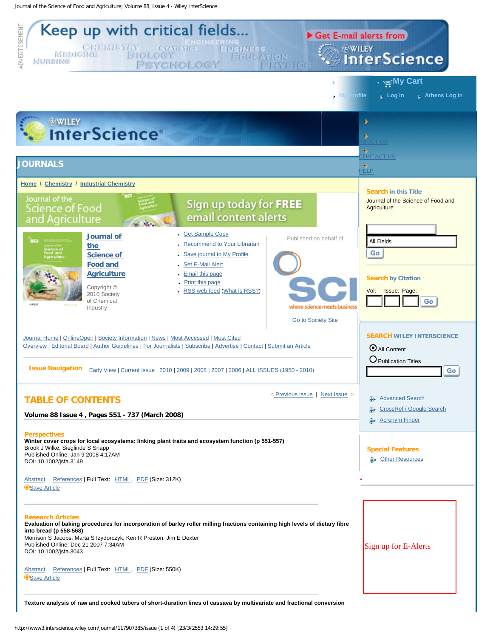Journal of the Science of Food and Agriculture; Volume 88, Issue 4 - Wiley InterScience

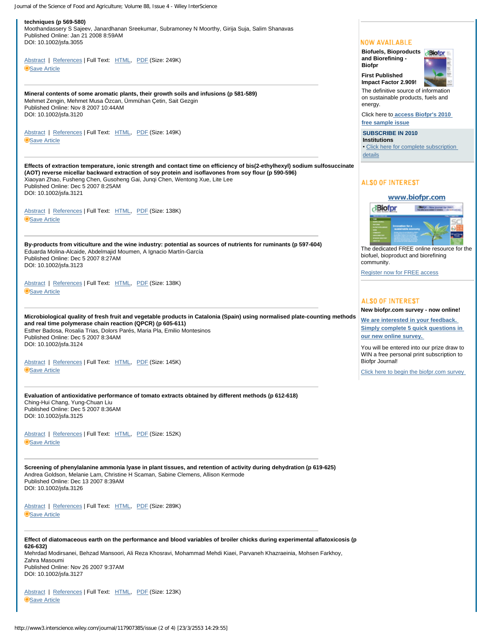Journal of the Science of Food and Agriculture; Volume 88, Issue 4 - Wiley InterScience

**techniques (p 569-580)** Moothandassery S Sajeev, Janardhanan Sreekumar, Subramoney N Moorthy, Girija Suja, Salim Shanavas Published Online: Jan 21 2008 8:59AM DOI: 10.1002/jsfa.3055 **NOW AVAILABLE Biofuels, Bioproducts and Biorefining -**  [Abstract](http://www3.interscience.wiley.com/journal/117891056/abstract) | [References](http://www3.interscience.wiley.com/journal/117891056/references) | Full Text: [HTML](http://www3.interscience.wiley.com/cgi-bin/fulltext/117891056/HTMLSTART), [PDF](http://www3.interscience.wiley.com/cgi-bin/fulltext/117891056/PDFSTART) (Size: 249K) **Biofpr [Save Article](http://www3.interscience.wiley.com/cgi-bin/savedarticleform?ID=117891056&path_ok=/journal/1294/home) First Published Impact Factor 2.909!** The definitive source of information **Mineral contents of some aromatic plants, their growth soils and infusions (p 581-589)** on sustainable products, fuels and Mehmet Zengin, Mehmet Musa Özcan, Ümmühan Çetin, Sait Gezgin energy. Published Online: Nov 8 2007 10:44AM DOI: 10.1002/jsfa.3120 Click here to **[access Biofpr's 2010](http://www3.interscience.wiley.com/journal/114071350/home) [free sample issue](http://www3.interscience.wiley.com/journal/114071350/home)** [Abstract](http://www3.interscience.wiley.com/journal/116839486/abstract) | [References](http://www3.interscience.wiley.com/journal/116839486/references) | Full Text: [HTML](http://www3.interscience.wiley.com/cgi-bin/fulltext/116839486/HTMLSTART), [PDF](http://www3.interscience.wiley.com/cgi-bin/fulltext/116839486/PDFSTART) (Size: 149K) **SUBSCRIBE IN 2010 [Save Article](http://www3.interscience.wiley.com/cgi-bin/savedarticleform?ID=116839486&path_ok=/journal/1294/home) Institutions** • [Click here for complete subscription](https://secure.interscience.wiley.com/jcatalog/subscribe.jsp?oid=114071350&issn=1932-104X) [details](https://secure.interscience.wiley.com/jcatalog/subscribe.jsp?oid=114071350&issn=1932-104X) **Effects of extraction temperature, ionic strength and contact time on efficiency of bis(2-ethylhexyl) sodium sulfosuccinate (AOT) reverse micellar backward extraction of soy protein and isoflavones from soy flour (p 590-596)** Xiaoyan Zhao, Fusheng Chen, Gusoheng Gai, Junqi Chen, Wentong Xue, Lite Lee **ALSO OF INTEREST** Published Online: Dec 5 2007 8:25AM DOI: 10.1002/jsfa.3121 **[www.biofpr.com](http://www.biofpr.com/view/0/index.html) Biofpr** (Bolpr - New journal for 2) [Abstract](http://www3.interscience.wiley.com/journal/117351619/abstract) | [References](http://www3.interscience.wiley.com/journal/117351619/references) | Full Text: [HTML](http://www3.interscience.wiley.com/cgi-bin/fulltext/117351619/HTMLSTART), [PDF](http://www3.interscience.wiley.com/cgi-bin/fulltext/117351619/PDFSTART) (Size: 138K) **[Save Article](http://www3.interscience.wiley.com/cgi-bin/savedarticleform?ID=117351619&path_ok=/journal/1294/home) By-products from viticulture and the wine industry: potential as sources of nutrients for ruminants (p 597-604)** The dedicated FREE online resource for the Eduarda Molina-Alcaide, Abdelmajid Moumen, A Ignacio Martín-García biofuel, bioproduct and biorefining Published Online: Dec 5 2007 8:27AM community. DOI: 10.1002/jsfa.3123 [Register now for FREE access](http://www.biofpr.com/view/0/index.html) [Abstract](http://www3.interscience.wiley.com/journal/117351618/abstract) | [References](http://www3.interscience.wiley.com/journal/117351618/references) | Full Text: [HTML](http://www3.interscience.wiley.com/cgi-bin/fulltext/117351618/HTMLSTART), [PDF](http://www3.interscience.wiley.com/cgi-bin/fulltext/117351618/PDFSTART) (Size: 138K) **[Save Article](http://www3.interscience.wiley.com/cgi-bin/savedarticleform?ID=117351618&path_ok=/journal/1294/home) ALSO OF INTEREST New biofpr.com survey - now online! Microbiological quality of fresh fruit and vegetable products in Catalonia (Spain) using normalised plate-counting methods [We are interested in your feedback.](http://www.biofpr.com/view/0/biofprsurvey.html) and real time polymerase chain reaction (QPCR) (p 605-611) [Simply complete 5 quick questions in](http://www.biofpr.com/view/0/biofprsurvey.html)**  Esther Badosa, Rosalia Trias, Dolors Parés, Maria Pla, Emilio Montesinos Published Online: Dec 5 2007 8:34AM **[our new online survey.](http://www.biofpr.com/view/0/biofprsurvey.html)**  DOI: 10.1002/jsfa.3124 You will be entered into our prize draw to WIN a free personal print subscription to [Abstract](http://www3.interscience.wiley.com/journal/117351617/abstract) | [References](http://www3.interscience.wiley.com/journal/117351617/references) | Full Text: [HTML](http://www3.interscience.wiley.com/cgi-bin/fulltext/117351617/HTMLSTART), [PDF](http://www3.interscience.wiley.com/cgi-bin/fulltext/117351617/PDFSTART) (Size: 145K) Biofpr Journal! **[Save Article](http://www3.interscience.wiley.com/cgi-bin/savedarticleform?ID=117351617&path_ok=/journal/1294/home)** Click here to begin the biofpr.com survey **Evaluation of antioxidative performance of tomato extracts obtained by different methods (p 612-618)** Ching-Hui Chang, Yung-Chuan Liu Published Online: Dec 5 2007 8:36AM DOI: 10.1002/jsfa.3125 [Abstract](http://www3.interscience.wiley.com/journal/117353828/abstract) | [References](http://www3.interscience.wiley.com/journal/117353828/references) | Full Text: [HTML](http://www3.interscience.wiley.com/cgi-bin/fulltext/117353828/HTMLSTART), [PDF](http://www3.interscience.wiley.com/cgi-bin/fulltext/117353828/PDFSTART) (Size: 152K) **[Save Article](http://www3.interscience.wiley.com/cgi-bin/savedarticleform?ID=117353828&path_ok=/journal/1294/home) Screening of phenylalanine ammonia lyase in plant tissues, and retention of activity during dehydration (p 619-625)** Andrea Goldson, Melanie Lam, Christine H Scaman, Sabine Clemens, Allison Kermode Published Online: Dec 13 2007 8:39AM DOI: 10.1002/jsfa.3126 [Abstract](http://www3.interscience.wiley.com/journal/117862078/abstract) | [References](http://www3.interscience.wiley.com/journal/117862078/references) | Full Text: [HTML](http://www3.interscience.wiley.com/cgi-bin/fulltext/117862078/HTMLSTART), [PDF](http://www3.interscience.wiley.com/cgi-bin/fulltext/117862078/PDFSTART) (Size: 289K) **[Save Article](http://www3.interscience.wiley.com/cgi-bin/savedarticleform?ID=117862078&path_ok=/journal/1294/home) Effect of diatomaceous earth on the performance and blood variables of broiler chicks during experimental aflatoxicosis (p 626-632)** Mehrdad Modirsanei, Behzad Mansoori, Ali Reza Khosravi, Mohammad Mehdi Kiaei, Parvaneh Khazraeinia, Mohsen Farkhoy, Zahra Masoumi Published Online: Nov 26 2007 9:37AM DOI: 10.1002/jsfa.3127 [Abstract](http://www3.interscience.wiley.com/journal/117347180/abstract) | [References](http://www3.interscience.wiley.com/journal/117347180/references) | Full Text: [HTML](http://www3.interscience.wiley.com/cgi-bin/fulltext/117347180/HTMLSTART), [PDF](http://www3.interscience.wiley.com/cgi-bin/fulltext/117347180/PDFSTART) (Size: 123K) **[Save Article](http://www3.interscience.wiley.com/cgi-bin/savedarticleform?ID=117347180&path_ok=/journal/1294/home)**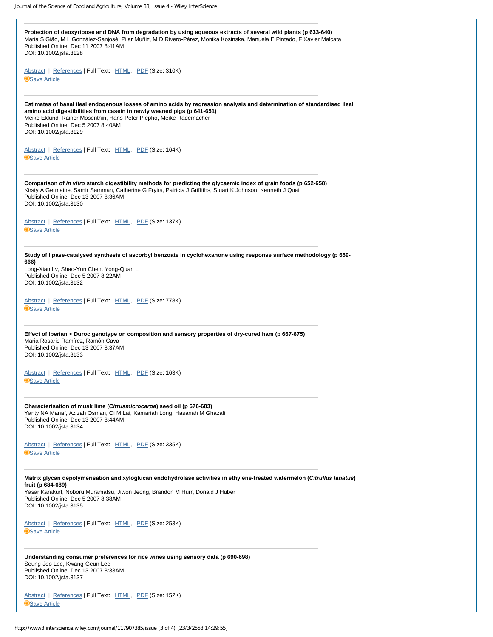| Protection of deoxyribose and DNA from degradation by using aqueous extracts of several wild plants (p 633-640)<br>Maria S Gião, M L González-Sanjosé, Pilar Muñiz, M D Rivero-Pérez, Monika Kosinska, Manuela E Pintado, F Xavier Malcata<br>Published Online: Dec 11 2007 8:41AM<br>DOI: 10.1002/jsfa.3128                                |  |
|---------------------------------------------------------------------------------------------------------------------------------------------------------------------------------------------------------------------------------------------------------------------------------------------------------------------------------------------|--|
| Abstract   References   Full Text: HTML, PDF (Size: 310K)<br>Save Article                                                                                                                                                                                                                                                                   |  |
| Estimates of basal ileal endogenous losses of amino acids by regression analysis and determination of standardised ileal<br>amino acid digestibilities from casein in newly weaned pigs (p 641-651)<br>Meike Eklund, Rainer Mosenthin, Hans-Peter Piepho, Meike Rademacher<br>Published Online: Dec 5 2007 8:40AM<br>DOI: 10.1002/jsfa.3129 |  |
| Abstract   References   Full Text: HTML, PDF (Size: 164K)<br>Save Article                                                                                                                                                                                                                                                                   |  |
| Comparison of in vitro starch digestibility methods for predicting the glycaemic index of grain foods (p 652-658)<br>Kirsty A Germaine, Samir Samman, Catherine G Fryirs, Patricia J Griffiths, Stuart K Johnson, Kenneth J Quail<br>Published Online: Dec 13 2007 8:36AM<br>DOI: 10.1002/jsfa.3130                                         |  |
| Abstract   References   Full Text: HTML, PDF (Size: 137K)<br>Save Article                                                                                                                                                                                                                                                                   |  |
| Study of lipase-catalysed synthesis of ascorbyl benzoate in cyclohexanone using response surface methodology (p 659-<br>666)<br>Long-Xian Lv, Shao-Yun Chen, Yong-Quan Li<br>Published Online: Dec 5 2007 8:22AM<br>DOI: 10.1002/jsfa.3132                                                                                                  |  |
| Abstract   References   Full Text: HTML, PDF (Size: 778K)<br>Save Article                                                                                                                                                                                                                                                                   |  |
| Effect of Iberian x Duroc genotype on composition and sensory properties of dry-cured ham (p 667-675)<br>Maria Rosario Ramírez, Ramón Cava<br>Published Online: Dec 13 2007 8:37AM<br>DOI: 10.1002/jsfa.3133                                                                                                                                |  |
| Abstract   References   Full Text: HTML, PDF (Size: 163K)<br>Save Article                                                                                                                                                                                                                                                                   |  |
| Characterisation of musk lime (Citrusmicrocarpa) seed oil (p 676-683)<br>Yanty NA Manaf, Azizah Osman, Oi M Lai, Kamariah Long, Hasanah M Ghazali<br>Published Online: Dec 13 2007 8:44AM<br>DOI: 10.1002/jsfa.3134                                                                                                                         |  |
| Abstract   References   Full Text: HTML, PDF (Size: 335K)<br>Save Article                                                                                                                                                                                                                                                                   |  |
| Matrix glycan depolymerisation and xyloglucan endohydrolase activities in ethylene-treated watermelon (Citrullus lanatus)<br>fruit (p 684-689)<br>Yasar Karakurt, Noboru Muramatsu, Jiwon Jeong, Brandon M Hurr, Donald J Huber<br>Published Online: Dec 5 2007 8:38AM<br>DOI: 10.1002/jsfa.3135                                            |  |
| Abstract   References   Full Text: HTML, PDF (Size: 253K)<br>Save Article                                                                                                                                                                                                                                                                   |  |
| Understanding consumer preferences for rice wines using sensory data (p 690-698)<br>Seung-Joo Lee, Kwang-Geun Lee<br>Published Online: Dec 13 2007 8:33AM<br>DOI: 10.1002/jsfa.3137                                                                                                                                                         |  |
| Abstract   References   Full Text: HTML, PDF (Size: 152K)<br>Save Article                                                                                                                                                                                                                                                                   |  |